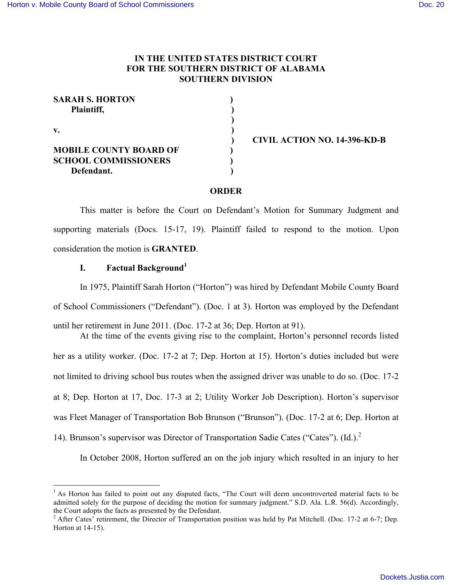## **IN THE UNITED STATES DISTRICT COURT FOR THE SOUTHERN DISTRICT OF ALABAMA SOUTHERN DIVISION**

| <b>SARAH S. HORTON</b>        |  |
|-------------------------------|--|
| Plaintiff,                    |  |
|                               |  |
| V.                            |  |
|                               |  |
| <b>MOBILE COUNTY BOARD OF</b> |  |
| <b>SCHOOL COMMISSIONERS</b>   |  |
| Defendant.                    |  |
|                               |  |

 **) CIVIL ACTION NO. 14-396-KD-B**

#### **ORDER**

This matter is before the Court on Defendant's Motion for Summary Judgment and supporting materials (Docs. 15-17, 19). Plaintiff failed to respond to the motion. Upon consideration the motion is **GRANTED**.

## **I. Factual Background<sup>1</sup>**

In 1975, Plaintiff Sarah Horton ("Horton") was hired by Defendant Mobile County Board of School Commissioners ("Defendant"). (Doc. 1 at 3). Horton was employed by the Defendant until her retirement in June 2011. (Doc. 17-2 at 36; Dep. Horton at 91). At the time of the events giving rise to the complaint, Horton's personnel records listed

her as a utility worker. (Doc. 17-2 at 7; Dep. Horton at 15). Horton's duties included but were not limited to driving school bus routes when the assigned driver was unable to do so. (Doc. 17-2 at 8; Dep. Horton at 17, Doc. 17-3 at 2; Utility Worker Job Description). Horton's supervisor was Fleet Manager of Transportation Bob Brunson ("Brunson"). (Doc. 17-2 at 6; Dep. Horton at 14). Brunson's supervisor was Director of Transportation Sadie Cates ("Cates"). (Id.).<sup>2</sup>

In October 2008, Horton suffered an on the job injury which resulted in an injury to her

 $<sup>1</sup>$  As Horton has failed to point out any disputed facts, "The Court will deem uncontroverted material facts to be</sup> admitted solely for the purpose of deciding the motion for summary judgment." S.D. Ala. L.R. 56(d). Accordingly, the Court adopts the facts as presented by the Defendant.<br><sup>2</sup> After Cates' retirement, the Director of Transportation position was held by Pat Mitchell. (Doc. 17-2 at 6-7; Dep.

Horton at 14-15).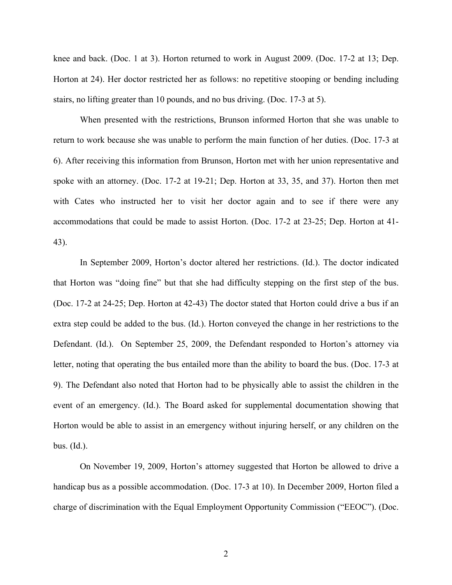knee and back. (Doc. 1 at 3). Horton returned to work in August 2009. (Doc. 17-2 at 13; Dep. Horton at 24). Her doctor restricted her as follows: no repetitive stooping or bending including stairs, no lifting greater than 10 pounds, and no bus driving. (Doc. 17-3 at 5).

When presented with the restrictions, Brunson informed Horton that she was unable to return to work because she was unable to perform the main function of her duties. (Doc. 17-3 at 6). After receiving this information from Brunson, Horton met with her union representative and spoke with an attorney. (Doc. 17-2 at 19-21; Dep. Horton at 33, 35, and 37). Horton then met with Cates who instructed her to visit her doctor again and to see if there were any accommodations that could be made to assist Horton. (Doc. 17-2 at 23-25; Dep. Horton at 41- 43).

In September 2009, Horton's doctor altered her restrictions. (Id.). The doctor indicated that Horton was "doing fine" but that she had difficulty stepping on the first step of the bus. (Doc. 17-2 at 24-25; Dep. Horton at 42-43) The doctor stated that Horton could drive a bus if an extra step could be added to the bus. (Id.). Horton conveyed the change in her restrictions to the Defendant. (Id.). On September 25, 2009, the Defendant responded to Horton's attorney via letter, noting that operating the bus entailed more than the ability to board the bus. (Doc. 17-3 at 9). The Defendant also noted that Horton had to be physically able to assist the children in the event of an emergency. (Id.). The Board asked for supplemental documentation showing that Horton would be able to assist in an emergency without injuring herself, or any children on the bus. (Id.).

On November 19, 2009, Horton's attorney suggested that Horton be allowed to drive a handicap bus as a possible accommodation. (Doc. 17-3 at 10). In December 2009, Horton filed a charge of discrimination with the Equal Employment Opportunity Commission ("EEOC"). (Doc.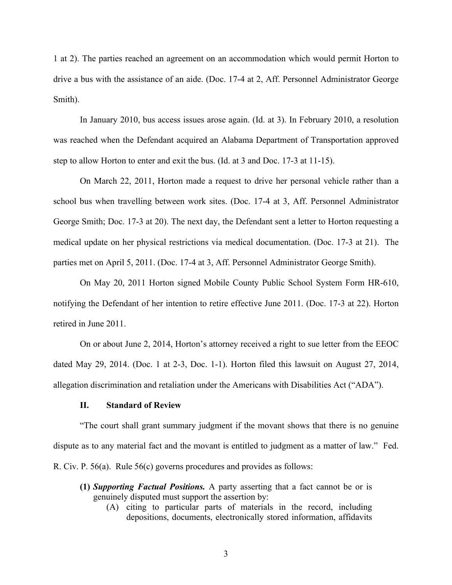1 at 2). The parties reached an agreement on an accommodation which would permit Horton to drive a bus with the assistance of an aide. (Doc. 17-4 at 2, Aff. Personnel Administrator George Smith).

In January 2010, bus access issues arose again. (Id. at 3). In February 2010, a resolution was reached when the Defendant acquired an Alabama Department of Transportation approved step to allow Horton to enter and exit the bus. (Id. at 3 and Doc. 17-3 at 11-15).

On March 22, 2011, Horton made a request to drive her personal vehicle rather than a school bus when travelling between work sites. (Doc. 17-4 at 3, Aff. Personnel Administrator George Smith; Doc. 17-3 at 20). The next day, the Defendant sent a letter to Horton requesting a medical update on her physical restrictions via medical documentation. (Doc. 17-3 at 21). The parties met on April 5, 2011. (Doc. 17-4 at 3, Aff. Personnel Administrator George Smith).

On May 20, 2011 Horton signed Mobile County Public School System Form HR-610, notifying the Defendant of her intention to retire effective June 2011. (Doc. 17-3 at 22). Horton retired in June 2011.

On or about June 2, 2014, Horton's attorney received a right to sue letter from the EEOC dated May 29, 2014. (Doc. 1 at 2-3, Doc. 1-1). Horton filed this lawsuit on August 27, 2014, allegation discrimination and retaliation under the Americans with Disabilities Act ("ADA").

#### **II. Standard of Review**

"The court shall grant summary judgment if the movant shows that there is no genuine dispute as to any material fact and the movant is entitled to judgment as a matter of law." Fed. R. Civ. P. 56(a). Rule 56(c) governs procedures and provides as follows:

- **(1)** *Supporting Factual Positions.* A party asserting that a fact cannot be or is genuinely disputed must support the assertion by:
	- (A) citing to particular parts of materials in the record, including depositions, documents, electronically stored information, affidavits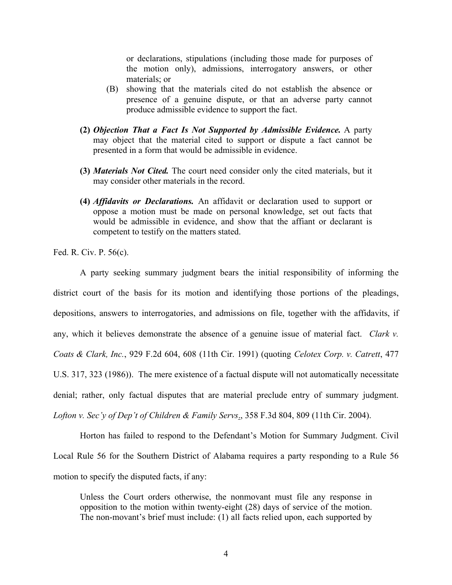or declarations, stipulations (including those made for purposes of the motion only), admissions, interrogatory answers, or other materials; or

- (B) showing that the materials cited do not establish the absence or presence of a genuine dispute, or that an adverse party cannot produce admissible evidence to support the fact.
- **(2)** *Objection That a Fact Is Not Supported by Admissible Evidence.* A party may object that the material cited to support or dispute a fact cannot be presented in a form that would be admissible in evidence.
- **(3)** *Materials Not Cited.* The court need consider only the cited materials, but it may consider other materials in the record.
- **(4)** *Affidavits or Declarations.* An affidavit or declaration used to support or oppose a motion must be made on personal knowledge, set out facts that would be admissible in evidence, and show that the affiant or declarant is competent to testify on the matters stated.

Fed. R. Civ. P. 56(c).

A party seeking summary judgment bears the initial responsibility of informing the district court of the basis for its motion and identifying those portions of the pleadings, depositions, answers to interrogatories, and admissions on file, together with the affidavits, if any, which it believes demonstrate the absence of a genuine issue of material fact. *Clark v. Coats & Clark, Inc.*, 929 F.2d 604, 608 (11th Cir. 1991) (quoting *Celotex Corp. v. Catrett*, 477 U.S. 317, 323 (1986)). The mere existence of a factual dispute will not automatically necessitate denial; rather, only factual disputes that are material preclude entry of summary judgment. *Lofton v. Sec'y of Dep't of Children & Family Servs*., 358 F.3d 804, 809 (11th Cir. 2004).

Horton has failed to respond to the Defendant's Motion for Summary Judgment. Civil Local Rule 56 for the Southern District of Alabama requires a party responding to a Rule 56 motion to specify the disputed facts, if any:

Unless the Court orders otherwise, the nonmovant must file any response in opposition to the motion within twenty-eight (28) days of service of the motion. The non-movant's brief must include: (1) all facts relied upon, each supported by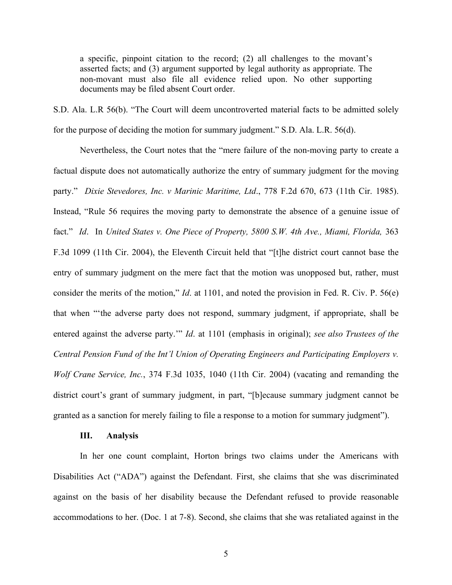a specific, pinpoint citation to the record; (2) all challenges to the movant's asserted facts; and (3) argument supported by legal authority as appropriate. The non-movant must also file all evidence relied upon. No other supporting documents may be filed absent Court order.

S.D. Ala. L.R 56(b). "The Court will deem uncontroverted material facts to be admitted solely for the purpose of deciding the motion for summary judgment." S.D. Ala. L.R. 56(d).

Nevertheless, the Court notes that the "mere failure of the non-moving party to create a factual dispute does not automatically authorize the entry of summary judgment for the moving party." *Dixie Stevedores, Inc. v Marinic Maritime, Ltd*., 778 F.2d 670, 673 (11th Cir. 1985). Instead, "Rule 56 requires the moving party to demonstrate the absence of a genuine issue of fact." *Id*. In *United States v. One Piece of Property, 5800 S.W. 4th Ave., Miami, Florida,* 363 F.3d 1099 (11th Cir. 2004), the Eleventh Circuit held that "[t]he district court cannot base the entry of summary judgment on the mere fact that the motion was unopposed but, rather, must consider the merits of the motion," *Id*. at 1101, and noted the provision in Fed. R. Civ. P. 56(e) that when "'the adverse party does not respond, summary judgment, if appropriate, shall be entered against the adverse party.'" *Id*. at 1101 (emphasis in original); *see also Trustees of the Central Pension Fund of the Int'l Union of Operating Engineers and Participating Employers v. Wolf Crane Service, Inc.*, 374 F.3d 1035, 1040 (11th Cir. 2004) (vacating and remanding the district court's grant of summary judgment, in part, "[b]ecause summary judgment cannot be granted as a sanction for merely failing to file a response to a motion for summary judgment").

#### **III. Analysis**

In her one count complaint, Horton brings two claims under the Americans with Disabilities Act ("ADA") against the Defendant. First, she claims that she was discriminated against on the basis of her disability because the Defendant refused to provide reasonable accommodations to her. (Doc. 1 at 7-8). Second, she claims that she was retaliated against in the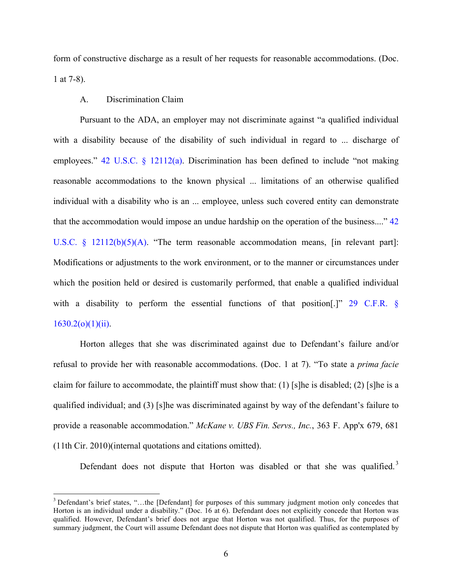form of constructive discharge as a result of her requests for reasonable accommodations. (Doc. 1 at 7-8).

#### A. Discrimination Claim

Pursuant to the ADA, an employer may not discriminate against "a qualified individual with a disability because of the disability of such individual in regard to ... discharge of employees."  $42 \text{ U.S.C. }$  §  $12112(a)$ . Discrimination has been defined to include "not making" reasonable accommodations to the known physical ... limitations of an otherwise qualified individual with a disability who is an ... employee, unless such covered entity can demonstrate that the accommodation would impose an undue hardship on the operation of the business...." 42 U.S.C. § 12112(b)(5)(A). "The term reasonable accommodation means, [in relevant part]: Modifications or adjustments to the work environment, or to the manner or circumstances under which the position held or desired is customarily performed, that enable a qualified individual with a disability to perform the essential functions of that position<sup>[1]</sup> 29 C.F.R. §  $1630.2(o)(1)(ii)$ .

Horton alleges that she was discriminated against due to Defendant's failure and/or refusal to provide her with reasonable accommodations. (Doc. 1 at 7). "To state a *prima facie* claim for failure to accommodate, the plaintiff must show that: (1) [s]he is disabled; (2) [s]he is a qualified individual; and (3) [s]he was discriminated against by way of the defendant's failure to provide a reasonable accommodation." *McKane v. UBS Fin. Servs., Inc.*, 363 F. App'x 679, 681 (11th Cir. 2010)(internal quotations and citations omitted).

Defendant does not dispute that Horton was disabled or that she was qualified.<sup>3</sup>

<sup>&</sup>lt;sup>3</sup> Defendant's brief states, "...the [Defendant] for purposes of this summary judgment motion only concedes that Horton is an individual under a disability." (Doc. 16 at 6). Defendant does not explicitly concede that Horton was qualified. However, Defendant's brief does not argue that Horton was not qualified. Thus, for the purposes of summary judgment, the Court will assume Defendant does not dispute that Horton was qualified as contemplated by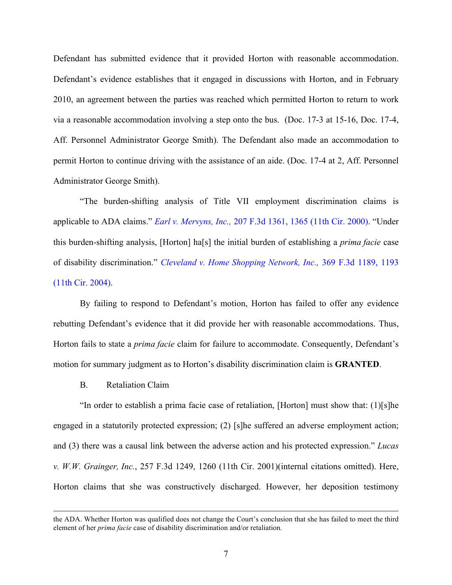Defendant has submitted evidence that it provided Horton with reasonable accommodation. Defendant's evidence establishes that it engaged in discussions with Horton, and in February 2010, an agreement between the parties was reached which permitted Horton to return to work via a reasonable accommodation involving a step onto the bus. (Doc. 17-3 at 15-16, Doc. 17-4, Aff. Personnel Administrator George Smith). The Defendant also made an accommodation to permit Horton to continue driving with the assistance of an aide. (Doc. 17-4 at 2, Aff. Personnel Administrator George Smith).

"The burden-shifting analysis of Title VII employment discrimination claims is applicable to ADA claims." *Earl v. Mervyns, Inc.,* 207 F.3d 1361, 1365 (11th Cir. 2000). "Under this burden-shifting analysis, [Horton] ha[s] the initial burden of establishing a *prima facie* case of disability discrimination." *Cleveland v. Home Shopping Network, Inc.,* 369 F.3d 1189, 1193 (11th Cir. 2004).

By failing to respond to Defendant's motion, Horton has failed to offer any evidence rebutting Defendant's evidence that it did provide her with reasonable accommodations. Thus, Horton fails to state a *prima facie* claim for failure to accommodate. Consequently, Defendant's motion for summary judgment as to Horton's disability discrimination claim is **GRANTED**.

B. Retaliation Claim

"In order to establish a prima facie case of retaliation, [Horton] must show that: (1)[s]he engaged in a statutorily protected expression; (2) [s]he suffered an adverse employment action; and (3) there was a causal link between the adverse action and his protected expression." *Lucas v. W.W. Grainger, Inc.*, 257 F.3d 1249, 1260 (11th Cir. 2001)(internal citations omitted). Here, Horton claims that she was constructively discharged. However, her deposition testimony

the ADA. Whether Horton was qualified does not change the Court's conclusion that she has failed to meet the third element of her *prima facie* case of disability discrimination and/or retaliation.